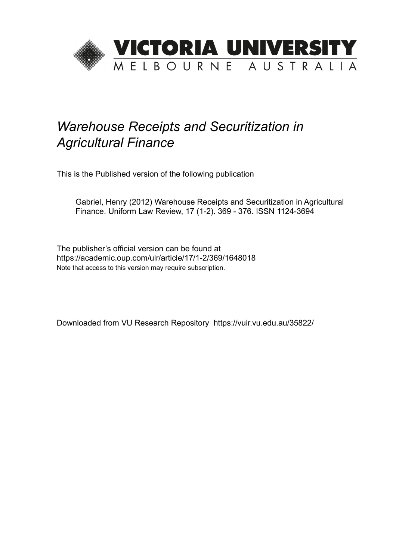

# *Warehouse Receipts and Securitization in Agricultural Finance*

This is the Published version of the following publication

Gabriel, Henry (2012) Warehouse Receipts and Securitization in Agricultural Finance. Uniform Law Review, 17 (1-2). 369 - 376. ISSN 1124-3694

The publisher's official version can be found at https://academic.oup.com/ulr/article/17/1-2/369/1648018 Note that access to this version may require subscription.

Downloaded from VU Research Repository https://vuir.vu.edu.au/35822/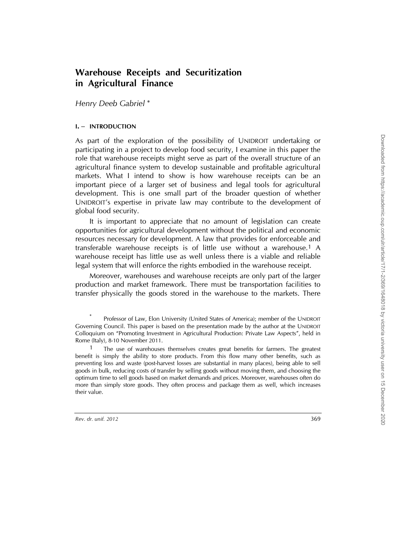## **Warehouse Receipts and Securitization in Agricultural Finance**

*Henry Deeb Gabriel* 

#### **I.** – **INTRODUCTION**

As part of the exploration of the possibility of UNIDROIT undertaking or participating in a project to develop food security, I examine in this paper the role that warehouse receipts might serve as part of the overall structure of an agricultural finance system to develop sustainable and profitable agricultural markets. What I intend to show is how warehouse receipts can be an important piece of a larger set of business and legal tools for agricultural development. This is one small part of the broader question of whether UNIDROIT's expertise in private law may contribute to the development of global food security.

It is important to appreciate that no amount of legislation can create opportunities for agricultural development without the political and economic resources necessary for development. A law that provides for enforceable and transferable warehouse receipts is of little use without a warehouse.1 A warehouse receipt has little use as well unless there is a viable and reliable legal system that will enforce the rights embodied in the warehouse receipt.

Moreover, warehouses and warehouse receipts are only part of the larger production and market framework. There must be transportation facilities to transfer physically the goods stored in the warehouse to the markets. There

<sup>×</sup>  Professor of Law, Elon University (United States of America); member of the UNIDROIT Governing Council. This paper is based on the presentation made by the author at the UNIDROIT Colloquium on "Promoting Investment in Agricultural Production: Private Law Aspects", held in Rome (Italy), 8-10 November 2011.

<sup>1</sup> The use of warehouses themselves creates great benefits for farmers. The greatest benefit is simply the ability to store products. From this flow many other benefits, such as preventing loss and waste (post-harvest losses are substantial in many places), being able to sell goods in bulk, reducing costs of transfer by selling goods without moving them, and choosing the optimum time to sell goods based on market demands and prices. Moreover, warehouses often do more than simply store goods. They often process and package them as well, which increases their value.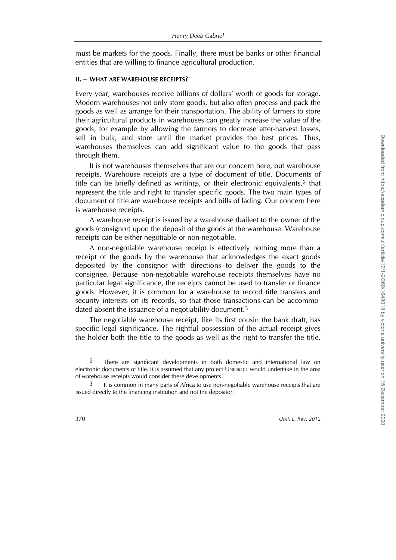must be markets for the goods. Finally, there must be banks or other financial entities that are willing to finance agricultural production.

#### **II.** – **WHAT ARE WAREHOUSE RECEIPTS?**

Every year, warehouses receive billions of dollars' worth of goods for storage. Modern warehouses not only store goods, but also often process and pack the goods as well as arrange for their transportation. The ability of farmers to store their agricultural products in warehouses can greatly increase the value of the goods, for example by allowing the farmers to decrease after-harvest losses, sell in bulk, and store until the market provides the best prices. Thus, warehouses themselves can add significant value to the goods that pass through them.

It is not warehouses themselves that are our concern here, but warehouse receipts. Warehouse receipts are a type of document of title. Documents of title can be briefly defined as writings, or their electronic equivalents,2 that represent the title and right to transfer specific goods. The two main types of document of title are warehouse receipts and bills of lading. Our concern here is warehouse receipts.

A warehouse receipt is issued by a warehouse (bailee) to the owner of the goods (consignor) upon the deposit of the goods at the warehouse. Warehouse receipts can be either negotiable or non-negotiable.

A non-negotiable warehouse receipt is effectively nothing more than a receipt of the goods by the warehouse that acknowledges the exact goods deposited by the consignor with directions to deliver the goods to the consignee. Because non-negotiable warehouse receipts themselves have no particular legal significance, the receipts cannot be used to transfer or finance goods. However, it is common for a warehouse to record title transfers and security interests on its records, so that those transactions can be accommodated absent the issuance of a negotiability document.<sup>3</sup>

The negotiable warehouse receipt, like its first cousin the bank draft, has specific legal significance. The rightful possession of the actual receipt gives the holder both the title to the goods as well as the right to transfer the title.

<sup>2</sup> There are significant developments in both domestic and international law on electronic documents of title. It is assumed that any project UNIDROIT would undertake in the area of warehouse receipts would consider these developments.

It is common in many parts of Africa to use non-negotiable warehouse receipts that are issued directly to the financing institution and not the depositor.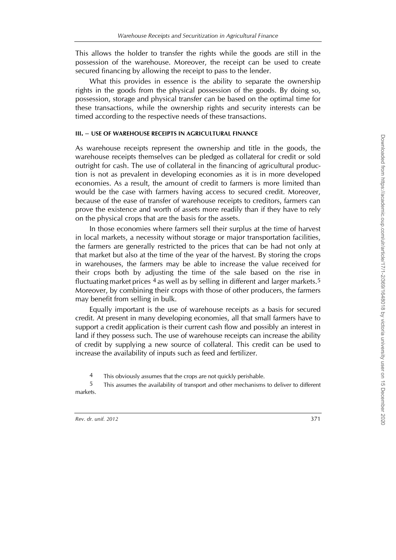This allows the holder to transfer the rights while the goods are still in the possession of the warehouse. Moreover, the receipt can be used to create secured financing by allowing the receipt to pass to the lender.

What this provides in essence is the ability to separate the ownership rights in the goods from the physical possession of the goods. By doing so, possession, storage and physical transfer can be based on the optimal time for these transactions, while the ownership rights and security interests can be timed according to the respective needs of these transactions.

#### **III.** – **USE OF WAREHOUSE RECEIPTS IN AGRICULTURAL FINANCE**

As warehouse receipts represent the ownership and title in the goods, the warehouse receipts themselves can be pledged as collateral for credit or sold outright for cash. The use of collateral in the financing of agricultural production is not as prevalent in developing economies as it is in more developed economies. As a result, the amount of credit to farmers is more limited than would be the case with farmers having access to secured credit. Moreover, because of the ease of transfer of warehouse receipts to creditors, farmers can prove the existence and worth of assets more readily than if they have to rely on the physical crops that are the basis for the assets.

In those economies where farmers sell their surplus at the time of harvest in local markets, a necessity without storage or major transportation facilities, the farmers are generally restricted to the prices that can be had not only at that market but also at the time of the year of the harvest. By storing the crops in warehouses, the farmers may be able to increase the value received for their crops both by adjusting the time of the sale based on the rise in fluctuating market prices 4 as well as by selling in different and larger markets.5 Moreover, by combining their crops with those of other producers, the farmers may benefit from selling in bulk.

Equally important is the use of warehouse receipts as a basis for secured credit. At present in many developing economies, all that small farmers have to support a credit application is their current cash flow and possibly an interest in land if they possess such. The use of warehouse receipts can increase the ability of credit by supplying a new source of collateral. This credit can be used to increase the availability of inputs such as feed and fertilizer.

4 This obviously assumes that the crops are not quickly perishable.<br>5 This assumes the availability of transport and other mechanisms

This assumes the availability of transport and other mechanisms to deliver to different markets.

*Rev. dr. unif. 2012* 371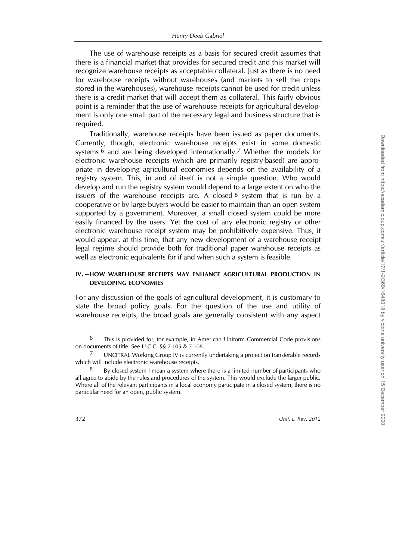The use of warehouse receipts as a basis for secured credit assumes that there is a financial market that provides for secured credit and this market will recognize warehouse receipts as acceptable collateral. Just as there is no need for warehouse receipts without warehouses (and markets to sell the crops stored in the warehouses), warehouse receipts cannot be used for credit unless there is a credit market that will accept them as collateral. This fairly obvious point is a reminder that the use of warehouse receipts for agricultural development is only one small part of the necessary legal and business structure that is required.

Traditionally, warehouse receipts have been issued as paper documents. Currently, though, electronic warehouse receipts exist in some domestic systems <sup>6</sup> and are being developed internationally.<sup>7</sup> Whether the models for electronic warehouse receipts (which are primarily registry-based) are appropriate in developing agricultural economies depends on the availability of a registry system. This, in and of itself is not a simple question. Who would develop and run the registry system would depend to a large extent on who the issuers of the warehouse receipts are. A closed 8 system that is run by a cooperative or by large buyers would be easier to maintain than an open system supported by a government. Moreover, a small closed system could be more easily financed by the users. Yet the cost of any electronic registry or other electronic warehouse receipt system may be prohibitively expensive. Thus, it would appear, at this time, that any new development of a warehouse receipt legal regime should provide both for traditional paper warehouse receipts as well as electronic equivalents for if and when such a system is feasible.

### **IV.** – **HOW WAREHOUSE RECEIPTS MAY ENHANCE AGRICULTURAL PRODUCTION IN DEVELOPING ECONOMIES**

For any discussion of the goals of agricultural development, it is customary to state the broad policy goals. For the question of the use and utility of warehouse receipts, the broad goals are generally consistent with any aspect

<sup>6</sup> This is provided for, for example, in American Uniform Commercial Code provisions on documents of title. See U.C.C. §§ 7-105 & 7-106.

<sup>7</sup> UNCITRAL Working Group IV is currently undertaking a project on transferable records which will include electronic warehouse receipts.

 $8$  By closed system I mean a system where there is a limited number of participants who all agree to abide by the rules and procedures of the system. This would exclude the larger public. Where all of the relevant participants in a local economy participate in a closed system, there is no particular need for an open, public system.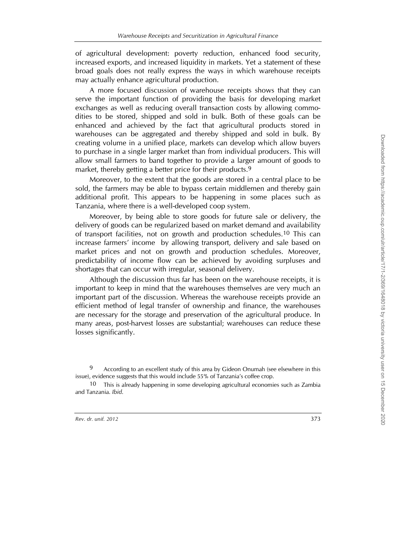of agricultural development: poverty reduction, enhanced food security, increased exports, and increased liquidity in markets. Yet a statement of these broad goals does not really express the ways in which warehouse receipts may actually enhance agricultural production.

A more focused discussion of warehouse receipts shows that they can serve the important function of providing the basis for developing market exchanges as well as reducing overall transaction costs by allowing commodities to be stored, shipped and sold in bulk. Both of these goals can be enhanced and achieved by the fact that agricultural products stored in warehouses can be aggregated and thereby shipped and sold in bulk. By creating volume in a unified place, markets can develop which allow buyers to purchase in a single larger market than from individual producers. This will allow small farmers to band together to provide a larger amount of goods to market, thereby getting a better price for their products.9

Moreover, to the extent that the goods are stored in a central place to be sold, the farmers may be able to bypass certain middlemen and thereby gain additional profit. This appears to be happening in some places such as Tanzania, where there is a well-developed coop system.

Moreover, by being able to store goods for future sale or delivery, the delivery of goods can be regularized based on market demand and availability of transport facilities, not on growth and production schedules.10 This can increase farmers' income by allowing transport, delivery and sale based on market prices and not on growth and production schedules. Moreover, predictability of income flow can be achieved by avoiding surpluses and shortages that can occur with irregular, seasonal delivery.

Although the discussion thus far has been on the warehouse receipts, it is important to keep in mind that the warehouses themselves are very much an important part of the discussion. Whereas the warehouse receipts provide an efficient method of legal transfer of ownership and finance, the warehouses are necessary for the storage and preservation of the agricultural produce. In many areas, post-harvest losses are substantial; warehouses can reduce these losses significantly.

10 This is already happening in some developing agricultural economies such as Zambia and Tanzania. *Ibid*.

<sup>9</sup> According to an excellent study of this area by Gideon Onumah (see elsewhere in this issue), evidence suggests that this would include 55% of Tanzania's coffee crop.

*Rev. dr. unif. 2012* 373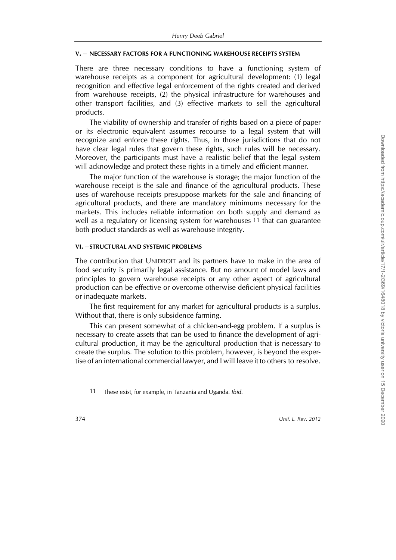#### **V.** – **NECESSARY FACTORS FOR A FUNCTIONING WAREHOUSE RECEIPTS SYSTEM**

There are three necessary conditions to have a functioning system of warehouse receipts as a component for agricultural development: (1) legal recognition and effective legal enforcement of the rights created and derived from warehouse receipts, (2) the physical infrastructure for warehouses and other transport facilities, and (3) effective markets to sell the agricultural products.

The viability of ownership and transfer of rights based on a piece of paper or its electronic equivalent assumes recourse to a legal system that will recognize and enforce these rights. Thus, in those jurisdictions that do not have clear legal rules that govern these rights, such rules will be necessary. Moreover, the participants must have a realistic belief that the legal system will acknowledge and protect these rights in a timely and efficient manner.

The major function of the warehouse is storage; the major function of the warehouse receipt is the sale and finance of the agricultural products. These uses of warehouse receipts presuppose markets for the sale and financing of agricultural products, and there are mandatory minimums necessary for the markets. This includes reliable information on both supply and demand as well as a regulatory or licensing system for warehouses <sup>11</sup> that can guarantee both product standards as well as warehouse integrity.

#### **VI.** –**STRUCTURAL AND SYSTEMIC PROBLEMS**

The contribution that UNIDROIT and its partners have to make in the area of food security is primarily legal assistance. But no amount of model laws and principles to govern warehouse receipts or any other aspect of agricultural production can be effective or overcome otherwise deficient physical facilities or inadequate markets.

The first requirement for any market for agricultural products is a surplus. Without that, there is only subsidence farming.

This can present somewhat of a chicken-and-egg problem. If a surplus is necessary to create assets that can be used to finance the development of agricultural production, it may be the agricultural production that is necessary to create the surplus. The solution to this problem, however, is beyond the expertise of an international commercial lawyer, and I will leave it to others to resolve.

11 These exist, for example, in Tanzania and Uganda. *Ibid*.

374 *Unif. L. Rev. 2012*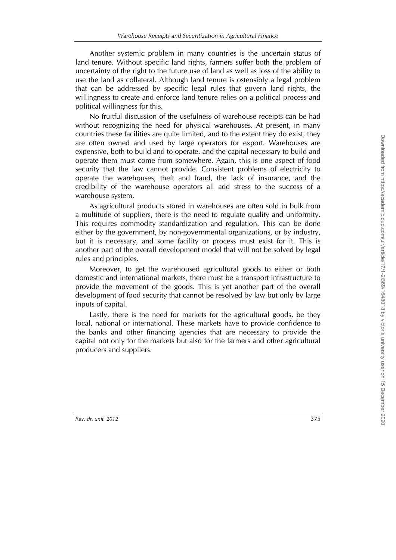Another systemic problem in many countries is the uncertain status of land tenure. Without specific land rights, farmers suffer both the problem of uncertainty of the right to the future use of land as well as loss of the ability to use the land as collateral. Although land tenure is ostensibly a legal problem that can be addressed by specific legal rules that govern land rights, the willingness to create and enforce land tenure relies on a political process and political willingness for this.

No fruitful discussion of the usefulness of warehouse receipts can be had without recognizing the need for physical warehouses. At present, in many countries these facilities are quite limited, and to the extent they do exist, they are often owned and used by large operators for export. Warehouses are expensive, both to build and to operate, and the capital necessary to build and operate them must come from somewhere. Again, this is one aspect of food security that the law cannot provide. Consistent problems of electricity to operate the warehouses, theft and fraud, the lack of insurance, and the credibility of the warehouse operators all add stress to the success of a warehouse system.

As agricultural products stored in warehouses are often sold in bulk from a multitude of suppliers, there is the need to regulate quality and uniformity. This requires commodity standardization and regulation. This can be done either by the government, by non-governmental organizations, or by industry, but it is necessary, and some facility or process must exist for it. This is another part of the overall development model that will not be solved by legal rules and principles.

Moreover, to get the warehoused agricultural goods to either or both domestic and international markets, there must be a transport infrastructure to provide the movement of the goods. This is yet another part of the overall development of food security that cannot be resolved by law but only by large inputs of capital.

Lastly, there is the need for markets for the agricultural goods, be they local, national or international. These markets have to provide confidence to the banks and other financing agencies that are necessary to provide the capital not only for the markets but also for the farmers and other agricultural producers and suppliers.